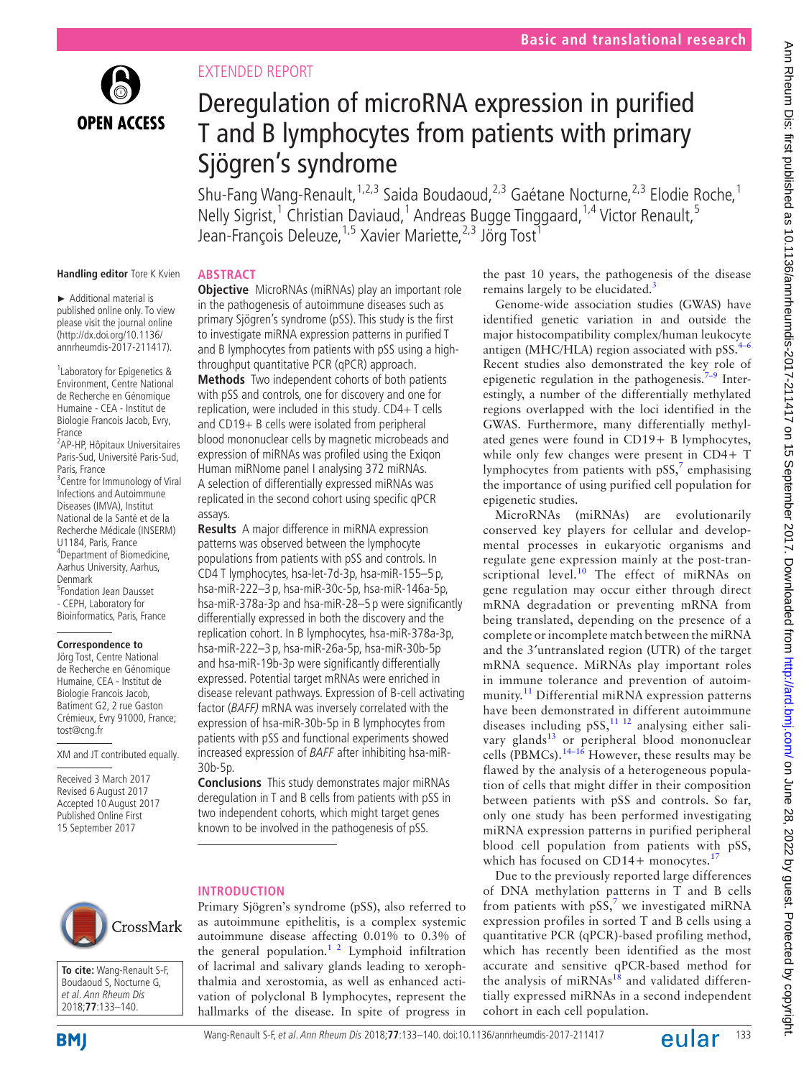

# Extended report

**Abstract**

# Deregulation of microRNA expression in purified T and B lymphocytes from patients with primary Sjögren's syndrome

Shu-Fang Wang-Renault,<sup>1,2,3</sup> Saida Boudaoud,<sup>2,3</sup> Gaétane Nocturne,<sup>2,3</sup> Elodie Roche,<sup>1</sup> Nelly Sigrist,<sup>1</sup> Christian Daviaud,<sup>1</sup> Andreas Bugge Tinggaard,<sup>1,4</sup> Victor Renault,<sup>5</sup> Jean-François Deleuze, <sup>1,5</sup> Xavier Mariette, <sup>2,3</sup> Jörg Tost<sup>1</sup>

#### **Handling editor** Tore K Kvien

► Additional material is published online only. To view please visit the journal online (http://dx.doi.org/10.1136/ annrheumdis-2017-211417).

1 Laboratory for Epigenetics & Environment, Centre National de Recherche en Génomique Humaine - CEA - Institut de Biologie Francois Jacob, Evry, France

2 AP-HP, Hôpitaux Universitaires Paris-Sud, Université Paris-Sud, Paris, France <sup>3</sup> Centre for Immunology of Viral Infections and Autoimmune Diseases (IMVA), Institut National de la Santé et de la Recherche Médicale (INSERM) U1184, Paris, France Department of Biomedicine, Aarhus University, Aarhus, Denmark

5 Fondation Jean Dausset - CEPH, Laboratory for Bioinformatics, Paris, France

#### **Correspondence to**

Jörg Tost, Centre National de Recherche en Génomique Humaine, CEA - Institut de Biologie Francois Jacob, Batiment G2, 2 rue Gaston Crémieux, Evry 91000, France; tost@cng.fr

XM and JT contributed equally.

Received 3 March 2017 Revised 6 August 2017 Accepted 10 August 2017 Published Online First 15 September 2017

**To cite:** Wang-Renault S-F, Boudaoud S, Nocturne G, et al. Ann Rheum Dis 2018;**77**:133–140.

**Objective** MicroRNAs (miRNAs) play an important role in the pathogenesis of autoimmune diseases such as primary Sjögren's syndrome (pSS). This study is the first to investigate miRNA expression patterns in purified T and B lymphocytes from patients with pSS using a highthroughput quantitative PCR (qPCR) approach. **Methods** Two independent cohorts of both patients

with pSS and controls, one for discovery and one for replication, were included in this study. CD4+ T cells and CD19+ B cells were isolated from peripheral blood mononuclear cells by magnetic microbeads and expression of miRNAs was profiled using the Exiqon Human miRNome panel I analysing 372 miRNAs. A selection of differentially expressed miRNAs was replicated in the second cohort using specific qPCR assays.

**Results** A major difference in miRNA expression patterns was observed between the lymphocyte populations from patients with pSS and controls. In CD4 T lymphocytes, hsa-let-7d-3p, hsa-miR-155–5 p, hsa-miR-222–3 p, hsa-miR-30c-5p, hsa-miR-146a-5p, hsa-miR-378a-3p and hsa-miR-28–5 p were significantly differentially expressed in both the discovery and the replication cohort. In B lymphocytes, hsa-miR-378a-3p, hsa-miR-222–3 p, hsa-miR-26a-5p, hsa-miR-30b-5p and hsa-miR-19b-3p were significantly differentially expressed. Potential target mRNAs were enriched in disease relevant pathways. Expression of B-cell activating factor (BAFF) mRNA was inversely correlated with the expression of hsa-miR-30b-5p in B lymphocytes from patients with pSS and functional experiments showed increased expression of BAFF after inhibiting hsa-miR-30b-5p.

**Conclusions** This study demonstrates major miRNAs deregulation in T and B cells from patients with pSS in two independent cohorts, which might target genes known to be involved in the pathogenesis of pSS.

#### **Introduction**

Primary Sjögren's syndrome (pSS), also referred to as autoimmune epithelitis, is a complex systemic CrossMark autoimmune disease affecting 0.01% to 0.3% of the general population.<sup>1 2</sup> Lymphoid infiltration of lacrimal and salivary glands leading to xerophthalmia and xerostomia, as well as enhanced activation of polyclonal B lymphocytes, represent the hallmarks of the disease. In spite of progress in

### the past 10 years, the pathogenesis of the disease remains largely to be elucidated.<sup>3</sup>

Genome-wide association studies (GWAS) have identified genetic variation in and outside the major histocompatibility complex/human leukocyte antigen (MHC/HLA) region associated with  $pSS.<sup>4-6</sup>$ Recent studies also demonstrated the key role of epigenetic regulation in the pathogenesis.<sup>7-9</sup> Interestingly, a number of the differentially methylated regions overlapped with the loci identified in the GWAS. Furthermore, many differentially methylated genes were found in CD19+ B lymphocytes, while only few changes were present in CD4+ T lymphocytes from patients with  $pSS$ ,<sup>[7](#page-6-3)</sup> emphasising the importance of using purified cell population for epigenetic studies.

MicroRNAs (miRNAs) are evolutionarily conserved key players for cellular and developmental processes in eukaryotic organisms and regulate gene expression mainly at the post-transcriptional level.<sup>10</sup> The effect of miRNAs on gene regulation may occur either through direct mRNA degradation or preventing mRNA from being translated, depending on the presence of a complete or incomplete match between the miRNA and the 3′untranslated region (UTR) of the target mRNA sequence. MiRNAs play important roles in immune tolerance and prevention of autoim-munity.<sup>[11](#page-7-1)</sup> Differential miRNA expression patterns have been demonstrated in different autoimmune diseases including pSS,<sup>[11 12](#page-7-1)</sup> analysing either salivary glands<sup>13</sup> or peripheral blood mononuclear cells (PBMCs).  $14-16$  However, these results may be flawed by the analysis of a heterogeneous population of cells that might differ in their composition between patients with pSS and controls. So far, only one study has been performed investigating miRNA expression patterns in purified peripheral blood cell population from patients with pSS, which has focused on  $CD14+$  monocytes.<sup>1</sup>

Due to the previously reported large differences of DNA methylation patterns in T and B cells from patients with  $pSS$ ,<sup>[7](#page-6-3)</sup> we investigated miRNA expression profiles in sorted T and B cells using a quantitative PCR (qPCR)-based profiling method, which has recently been identified as the most accurate and sensitive qPCR-based method for the analysis of  $miRNAs<sup>18</sup>$  and validated differentially expressed miRNAs in a second independent cohort in each cell population.

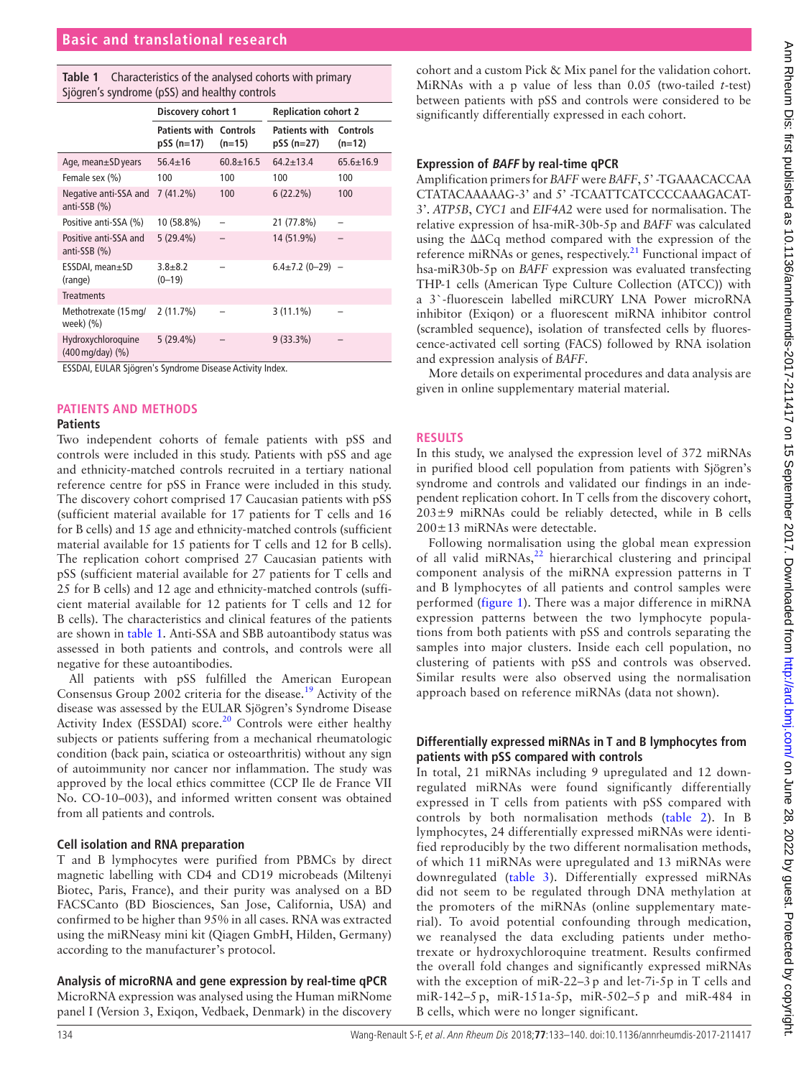<span id="page-1-0"></span>**Table 1** Characteristics of the analysed cohorts with primary

| Sjögren's syndrome (pSS) and healthy controls |                                             |                 |                             |                      |  |  |  |
|-----------------------------------------------|---------------------------------------------|-----------------|-----------------------------|----------------------|--|--|--|
|                                               | Discovery cohort 1                          |                 | <b>Replication cohort 2</b> |                      |  |  |  |
|                                               | <b>Patients with Controls</b><br>pSS (n=17) | $(n=15)$        | Patients with<br>pSS (n=27) | Controls<br>$(n=12)$ |  |  |  |
| Age, mean±SD years                            | $56.4 \pm 16$                               | $60.8 \pm 16.5$ | $64.2 + 13.4$               | $65.6 \pm 16.9$      |  |  |  |
| Female sex (%)                                | 100                                         | 100             | 100                         | 100                  |  |  |  |
| Negative anti-SSA and<br>anti-SSB $(%)$       | $7(41.2\%)$                                 | 100             | $6(22.2\%)$                 | 100                  |  |  |  |
| Positive anti-SSA (%)                         | 10 (58.8%)                                  |                 | 21 (77.8%)                  |                      |  |  |  |
| Positive anti-SSA and<br>anti-SSB $(\%)$      | $5(29.4\%)$                                 |                 | 14 (51.9%)                  |                      |  |  |  |
| ESSDAI, mean±SD<br>(range)                    | $3.8 + 8.2$<br>$(0 - 19)$                   |                 | $6.4 \pm 7.2$ (0-29) -      |                      |  |  |  |
| <b>Treatments</b>                             |                                             |                 |                             |                      |  |  |  |
| Methotrexate (15 mg/<br>week) (%)             | 2(11.7%)                                    |                 | $3(11.1\%)$                 |                      |  |  |  |
| Hydroxychloroquine<br>(400 mg/day) (%)        | $5(29.4\%)$                                 |                 | $9(33.3\%)$                 |                      |  |  |  |

ESSDAI, EULAR Sjögren's Syndrome Disease Activity Index.

#### **Patients and methods**

#### **Patients**

Two independent cohorts of female patients with pSS and controls were included in this study. Patients with pSS and age and ethnicity-matched controls recruited in a tertiary national reference centre for pSS in France were included in this study. The discovery cohort comprised 17 Caucasian patients with pSS (sufficient material available for 17 patients for T cells and 16 for B cells) and 15 age and ethnicity-matched controls (sufficient material available for 15 patients for T cells and 12 for B cells). The replication cohort comprised 27 Caucasian patients with pSS (sufficient material available for 27 patients for T cells and 25 for B cells) and 12 age and ethnicity-matched controls (sufficient material available for 12 patients for T cells and 12 for B cells). The characteristics and clinical features of the patients are shown in [table](#page-1-0) 1. Anti-SSA and SBB autoantibody status was assessed in both patients and controls, and controls were all negative for these autoantibodies.

All patients with pSS fulfilled the American European Consensus Group 2002 criteria for the disease.<sup>19</sup> Activity of the disease was assessed by the EULAR Sjögren's Syndrome Disease Activity Index (ESSDAI) score.<sup>20</sup> Controls were either healthy subjects or patients suffering from a mechanical rheumatologic condition (back pain, sciatica or osteoarthritis) without any sign of autoimmunity nor cancer nor inflammation. The study was approved by the local ethics committee (CCP Ile de France VII No. CO-10–003), and informed written consent was obtained from all patients and controls.

#### **Cell isolation and RNA preparation**

T and B lymphocytes were purified from PBMCs by direct magnetic labelling with CD4 and CD19 microbeads (Miltenyi Biotec, Paris, France), and their purity was analysed on a BD FACSCanto (BD Biosciences, San Jose, California, USA) and confirmed to be higher than 95% in all cases. RNA was extracted using the miRNeasy mini kit (Qiagen GmbH, Hilden, Germany) according to the manufacturer's protocol.

# **Analysis of microRNA and gene expression by real-time qPCR**

MicroRNA expression was analysed using the Human miRNome panel I (Version 3, Exiqon, Vedbaek, Denmark) in the discovery

cohort and a custom Pick & Mix panel for the validation cohort. MiRNAs with a p value of less than 0.05 (two-tailed *t*-test) between patients with pSS and controls were considered to be significantly differentially expressed in each cohort.

#### **Expression of BAFF by real-time qPCR**

Amplification primers for *BAFF* were *BAFF*, 5' -TGAAACACCAA CTATACAAAAAG-3' and 5' -TCAATTCATCCCCAAAGACAT-3'. *ATP5B*, *CYC1* and *EIF4A2* were used for normalisation. The relative expression of hsa-miR-30b-5p and *BAFF* was calculated using the ∆∆Cq method compared with the expression of the reference miRNAs or genes, respectively.<sup>21</sup> Functional impact of hsa-miR30b-5p on *BAFF* expression was evaluated transfecting THP-1 cells (American Type Culture Collection (ATCC)) with a 3`-fluorescein labelled miRCURY LNA Power microRNA inhibitor (Exiqon) or a fluorescent miRNA inhibitor control (scrambled sequence), isolation of transfected cells by fluorescence-activated cell sorting (FACS) followed by RNA isolation and expression analysis of *BAFF*.

More details on experimental procedures and data analysis are given in online [supplementary material](https://dx.doi.org/10.1136/annrheumdis-2017-211417) material.

#### **Results**

In this study, we analysed the expression level of 372 miRNAs in purified blood cell population from patients with Sjögren's syndrome and controls and validated our findings in an independent replication cohort. In T cells from the discovery cohort,  $203±9$  miRNAs could be reliably detected, while in B cells 200±13 miRNAs were detectable.

Following normalisation using the global mean expression of all valid mi $RNAs$ ,  $^{22}$  $^{22}$  $^{22}$  hierarchical clustering and principal component analysis of the miRNA expression patterns in T and B lymphocytes of all patients and control samples were performed [\(figure](#page-2-0) 1). There was a major difference in miRNA expression patterns between the two lymphocyte populations from both patients with pSS and controls separating the samples into major clusters. Inside each cell population, no clustering of patients with pSS and controls was observed. Similar results were also observed using the normalisation approach based on reference miRNAs (data not shown).

#### **Differentially expressed miRNAs in T and B lymphocytes from patients with pSS compared with controls**

In total, 21 miRNAs including 9 upregulated and 12 downregulated miRNAs were found significantly differentially expressed in T cells from patients with pSS compared with controls by both normalisation methods [\(table](#page-3-0) 2). In B lymphocytes, 24 differentially expressed miRNAs were identified reproducibly by the two different normalisation methods, of which 11 miRNAs were upregulated and 13 miRNAs were downregulated ([table](#page-4-0) 3). Differentially expressed miRNAs did not seem to be regulated through DNA methylation at the promoters of the miRNAs (online [supplementary mate](https://dx.doi.org/10.1136/annrheumdis-2017-211417)[rial\)](https://dx.doi.org/10.1136/annrheumdis-2017-211417). To avoid potential confounding through medication, we reanalysed the data excluding patients under methotrexate or hydroxychloroquine treatment. Results confirmed the overall fold changes and significantly expressed miRNAs with the exception of miR-22–3 p and let-7i-5p in T cells and miR-142–5 p, miR-151a-5p, miR-502–5 p and miR-484 in B cells, which were no longer significant.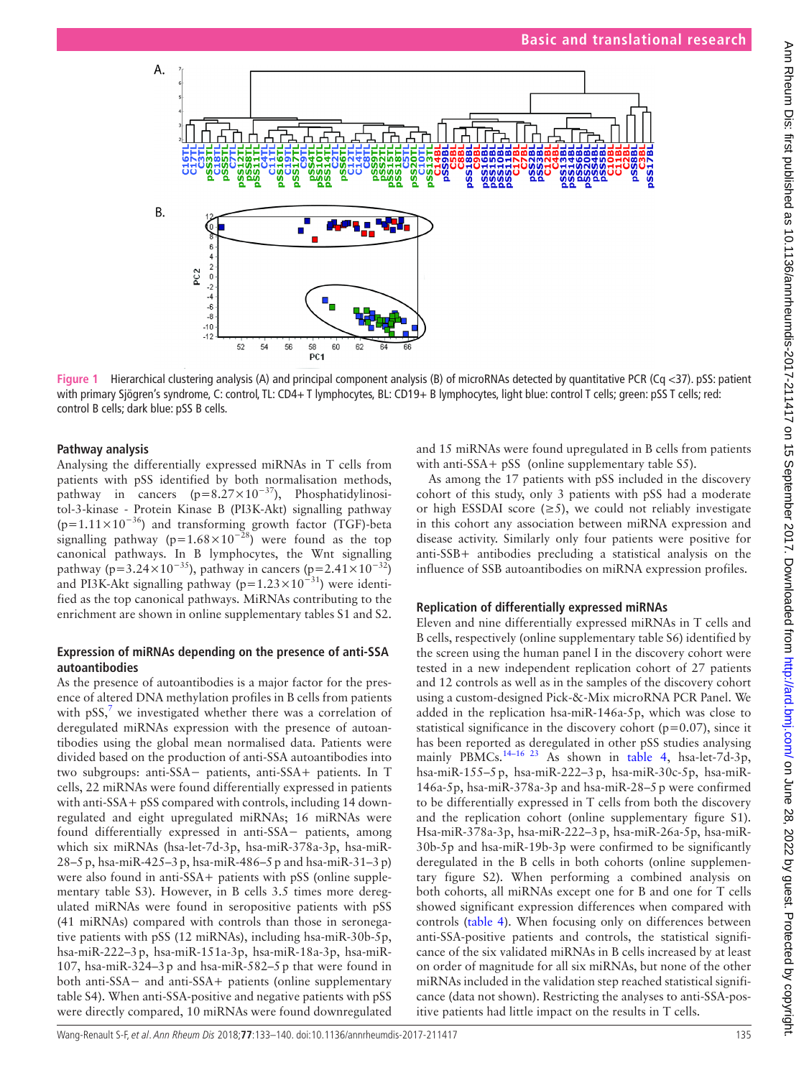

**Figure 1** Hierarchical clustering analysis (A) and principal component analysis (B) of microRNAs detected by quantitative PCR (Cq <37). pSS: patient with primary Sjögren's syndrome, C: control, TL: CD4+ T lymphocytes, BL: CD19+ B lymphocytes, light blue: control T cells; green: pSS T cells; red: control B cells; dark blue: pSS B cells.

#### **Pathway analysis**

Analysing the differentially expressed miRNAs in T cells from patients with pSS identified by both normalisation methods, pathway in cancers (p= $8.27 \times 10^{-37}$ ), Phosphatidylinositol-3-kinase - Protein Kinase B (PI3K-Akt) signalling pathway  $(p=1.11\times10^{-36})$  and transforming growth factor (TGF)-beta signalling pathway (p=1.68×10<sup>-28</sup>) were found as the top canonical pathways. In B lymphocytes, the Wnt signalling pathway (p=3.24×10<sup>-35</sup>), pathway in cancers (p=2.41×10<sup>-32</sup>) and PI3K-Akt signalling pathway (p=1.23×10<sup>-31</sup>) were identified as the top canonical pathways. MiRNAs contributing to the enrichment are shown in online [supplementary tables S1 and S2](https://dx.doi.org/10.1136/annrheumdis-2017-211417).

#### **Expression of miRNAs depending on the presence of anti-SSA autoantibodies**

As the presence of autoantibodies is a major factor for the presence of altered DNA methylation profiles in B cells from patients with  $pSS$ ,<sup>[7](#page-6-3)</sup> we investigated whether there was a correlation of deregulated miRNAs expression with the presence of autoantibodies using the global mean normalised data. Patients were divided based on the production of anti-SSA autoantibodies into two subgroups: anti-SSA− patients, anti-SSA+ patients. In T cells, 22 miRNAs were found differentially expressed in patients with anti-SSA+ pSS compared with controls, including 14 downregulated and eight upregulated miRNAs; 16 miRNAs were found differentially expressed in anti-SSA− patients, among which six miRNAs (hsa-let-7d-3p, hsa-miR-378a-3p, hsa-miR-28–5p, hsa-miR-425–3p, hsa-miR-486–5p and hsa-miR-31–3p) were also found in anti-SSA+ patients with pSS (online [supple](https://dx.doi.org/10.1136/annrheumdis-2017-211417)[mentary table S3](https://dx.doi.org/10.1136/annrheumdis-2017-211417)). However, in B cells 3.5 times more deregulated miRNAs were found in seropositive patients with pSS (41 miRNAs) compared with controls than those in seronegative patients with pSS (12 miRNAs), including hsa-miR-30b-5p, hsa-miR-222–3p, hsa-miR-151a-3p, hsa-miR-18a-3p, hsa-miR-107, hsa-miR-324–3p and hsa-miR-582–5p that were found in both anti-SSA− and anti-SSA+ patients (online [supplementary](https://dx.doi.org/10.1136/annrheumdis-2017-211417)  [table S4](https://dx.doi.org/10.1136/annrheumdis-2017-211417)). When anti-SSA-positive and negative patients with pSS were directly compared, 10 miRNAs were found downregulated

<span id="page-2-0"></span>and 15 miRNAs were found upregulated in B cells from patients with anti-SSA+ pSS (online [supplementary table S5\)](https://dx.doi.org/10.1136/annrheumdis-2017-211417).

As among the 17 patients with pSS included in the discovery cohort of this study, only 3 patients with pSS had a moderate or high ESSDAI score  $(\geq 5)$ , we could not reliably investigate in this cohort any association between miRNA expression and disease activity. Similarly only four patients were positive for anti-SSB+ antibodies precluding a statistical analysis on the influence of SSB autoantibodies on miRNA expression profiles.

#### **Replication of differentially expressed miRNAs**

Eleven and nine differentially expressed miRNAs in T cells and B cells, respectively (online [supplementary table S6](https://dx.doi.org/10.1136/annrheumdis-2017-211417)) identified by the screen using the human panel I in the discovery cohort were tested in a new independent replication cohort of 27 patients and 12 controls as well as in the samples of the discovery cohort using a custom-designed Pick-&-Mix microRNA PCR Panel. We added in the replication hsa-miR-146a-5p, which was close to statistical significance in the discovery cohort ( $p=0.07$ ), since it has been reported as deregulated in other pSS studies analysing mainly PBMCs.<sup>14–16</sup> <sup>23</sup> As shown in [table](#page-5-0) 4, hsa-let-7d-3p, hsa-miR-155–5p, hsa-miR-222–3p, hsa-miR-30c-5p, hsa-miR-146a-5p, hsa-miR-378a-3p and hsa-miR-28–5p were confirmed to be differentially expressed in T cells from both the discovery and the replication cohort (online [supplementary figure S1\)](https://dx.doi.org/10.1136/annrheumdis-2017-211417). Hsa-miR-378a-3p, hsa-miR-222–3p, hsa-miR-26a-5p, hsa-miR-30b-5p and hsa-miR-19b-3p were confirmed to be significantly deregulated in the B cells in both cohorts (online [supplemen](https://dx.doi.org/10.1136/annrheumdis-2017-211417)[tary figure S2](https://dx.doi.org/10.1136/annrheumdis-2017-211417)). When performing a combined analysis on both cohorts, all miRNAs except one for B and one for T cells showed significant expression differences when compared with controls [\(table](#page-5-0) 4). When focusing only on differences between anti-SSA-positive patients and controls, the statistical significance of the six validated miRNAs in B cells increased by at least on order of magnitude for all six miRNAs, but none of the other miRNAs included in the validation step reached statistical significance (data not shown). Restricting the analyses to anti-SSA-positive patients had little impact on the results in T cells.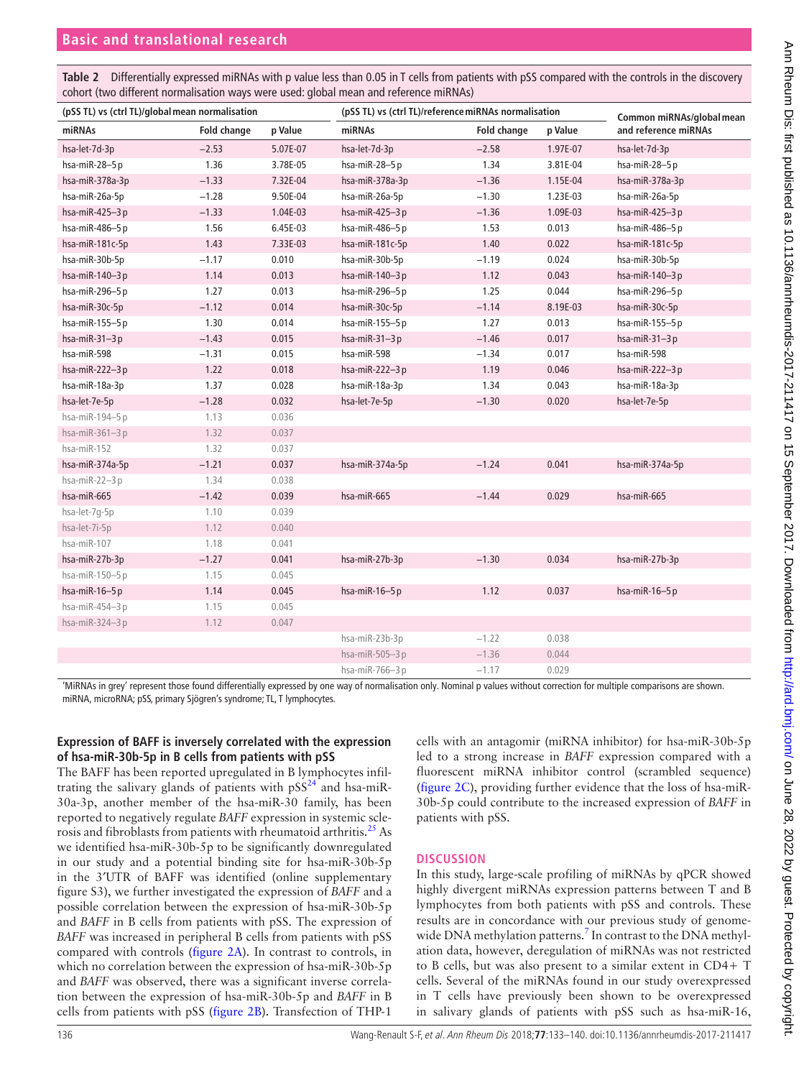# **Basic and translational research**

<span id="page-3-0"></span>**Table 2** Differentially expressed miRNAs with p value less than 0.05 in T cells from patients with pSS compared with the controls in the discovery cohort (two different normalisation ways were used: global mean and reference miRNAs)

| (pSS TL) vs (ctrl TL)/global mean normalisation |             |          |                   | (pSS TL) vs (ctrl TL)/reference miRNAs normalisation |          | Common miRNAs/global mean |
|-------------------------------------------------|-------------|----------|-------------------|------------------------------------------------------|----------|---------------------------|
| miRNAs                                          | Fold change | p Value  | miRNAs            | <b>Fold change</b>                                   | p Value  | and reference miRNAs      |
| hsa-let-7d-3p                                   | $-2.53$     | 5.07E-07 | hsa-let-7d-3p     | $-2.58$                                              | 1.97E-07 | hsa-let-7d-3p             |
| hsa-miR-28-5p                                   | 1.36        | 3.78E-05 | hsa-miR-28-5p     | 1.34                                                 | 3.81E-04 | hsa-miR-28-5p             |
| hsa-miR-378a-3p                                 | $-1.33$     | 7.32E-04 | hsa-miR-378a-3p   | $-1.36$                                              | 1.15E-04 | hsa-miR-378a-3p           |
| hsa-miR-26a-5p                                  | $-1.28$     | 9.50E-04 | hsa-miR-26a-5p    | $-1.30$                                              | 1.23E-03 | hsa-miR-26a-5p            |
| hsa-miR-425-3p                                  | $-1.33$     | 1.04E-03 | hsa-miR-425-3p    | $-1.36$                                              | 1.09E-03 | hsa-miR-425-3p            |
| hsa-miR-486-5p                                  | 1.56        | 6.45E-03 | hsa-miR-486-5p    | 1.53                                                 | 0.013    | hsa-miR-486-5p            |
| hsa-miR-181c-5p                                 | 1.43        | 7.33E-03 | hsa-miR-181c-5p   | 1.40                                                 | 0.022    | hsa-miR-181c-5p           |
| hsa-miR-30b-5p                                  | $-1.17$     | 0.010    | hsa-miR-30b-5p    | $-1.19$                                              | 0.024    | hsa-miR-30b-5p            |
| hsa-miR-140-3p                                  | 1.14        | 0.013    | hsa-miR-140-3p    | 1.12                                                 | 0.043    | hsa-miR-140-3p            |
| hsa-miR-296-5p                                  | 1.27        | 0.013    | hsa-miR-296-5p    | 1.25                                                 | 0.044    | hsa-miR-296-5p            |
| hsa-miR-30c-5p                                  | $-1.12$     | 0.014    | hsa-miR-30c-5p    | $-1.14$                                              | 8.19E-03 | hsa-miR-30c-5p            |
| hsa-miR-155-5p                                  | 1.30        | 0.014    | hsa-miR-155-5p    | 1.27                                                 | 0.013    | hsa-miR-155-5p            |
| hsa-miR-31-3p                                   | $-1.43$     | 0.015    | hsa-miR-31-3p     | $-1.46$                                              | 0.017    | hsa-miR-31-3p             |
| hsa-miR-598                                     | $-1.31$     | 0.015    | hsa-miR-598       | $-1.34$                                              | 0.017    | hsa-miR-598               |
| hsa-miR-222 $-3p$                               | 1.22        | 0.018    | hsa-miR-222 $-3p$ | 1.19                                                 | 0.046    | hsa-miR-222 $-3p$         |
| hsa-miR-18a-3p                                  | 1.37        | 0.028    | hsa-miR-18a-3p    | 1.34                                                 | 0.043    | hsa-miR-18a-3p            |
| hsa-let-7e-5p                                   | $-1.28$     | 0.032    | hsa-let-7e-5p     | $-1.30$                                              | 0.020    | hsa-let-7e-5p             |
| hsa-miR-194-5p                                  | 1.13        | 0.036    |                   |                                                      |          |                           |
| hsa-miR-361 $-3p$                               | 1.32        | 0.037    |                   |                                                      |          |                           |
| hsa-miR-152                                     | 1.32        | 0.037    |                   |                                                      |          |                           |
| hsa-miR-374a-5p                                 | $-1.21$     | 0.037    | hsa-miR-374a-5p   | $-1.24$                                              | 0.041    | hsa-miR-374a-5p           |
| hsa-miR-22-3p                                   | 1.34        | 0.038    |                   |                                                      |          |                           |
| hsa-miR-665                                     | $-1.42$     | 0.039    | hsa-miR-665       | $-1.44$                                              | 0.029    | hsa-miR-665               |
| hsa-let-7q-5p                                   | 1.10        | 0.039    |                   |                                                      |          |                           |
| hsa-let-7i-5p                                   | 1.12        | 0.040    |                   |                                                      |          |                           |
| hsa-miR-107                                     | 1.18        | 0.041    |                   |                                                      |          |                           |
| hsa-miR-27b-3p                                  | $-1.27$     | 0.041    | hsa-miR-27b-3p    | $-1.30$                                              | 0.034    | hsa-miR-27b-3p            |
| hsa-miR-150-5p                                  | 1.15        | 0.045    |                   |                                                      |          |                           |
| hsa-mi $R-16-5p$                                | 1.14        | 0.045    | hsa-miR-16-5p     | 1.12                                                 | 0.037    | hsa-miR-16-5p             |
| hsa-miR-454-3p                                  | 1.15        | 0.045    |                   |                                                      |          |                           |
| hsa-miR-324-3p                                  | 1.12        | 0.047    |                   |                                                      |          |                           |
|                                                 |             |          | hsa-miR-23b-3p    | $-1.22$                                              | 0.038    |                           |
|                                                 |             |          | hsa-mi $R-505-3p$ | $-1.36$                                              | 0.044    |                           |
|                                                 |             |          | hsa-miR-766-3p    | $-1.17$                                              | 0.029    |                           |

'MiRNAs in grey' represent those found differentially expressed by one way of normalisation only. Nominal p values without correction for multiple comparisons are shown. miRNA, microRNA; pSS, primary Sjögren's syndrome; TL, T lymphocytes.

## **Expression of BAFF is inversely correlated with the expression of hsa-miR-30b-5p in B cells from patients with pSS**

The BAFF has been reported upregulated in B lymphocytes infiltrating the salivary glands of patients with  $pSS^{24}$  and hsa-miR-30a-3p, another member of the hsa-miR-30 family, has been reported to negatively regulate *BAFF* expression in systemic scle-rosis and fibroblasts from patients with rheumatoid arthritis.<sup>[25](#page-7-11)</sup> As we identified hsa-miR-30b-5p to be significantly downregulated in our study and a potential binding site for hsa-miR-30b-5p in the 3′UTR of BAFF was identified (online [supplementary](https://dx.doi.org/10.1136/annrheumdis-2017-211417)  [figure S3\)](https://dx.doi.org/10.1136/annrheumdis-2017-211417), we further investigated the expression of *BAFF* and a possible correlation between the expression of hsa-miR-30b-5p and *BAFF* in B cells from patients with pSS. The expression of *BAFF* was increased in peripheral B cells from patients with pSS compared with controls ([figure](#page-6-4) 2A). In contrast to controls, in which no correlation between the expression of hsa-miR-30b-5p and *BAFF* was observed, there was a significant inverse correlation between the expression of hsa-miR-30b-5p and *BAFF* in B cells from patients with pSS ([figure](#page-6-4) 2B). Transfection of THP-1

cells with an antagomir (miRNA inhibitor) for hsa-miR-30b-5p led to a strong increase in *BAFF* expression compared with a fluorescent miRNA inhibitor control (scrambled sequence) ([figure](#page-6-4) 2C), providing further evidence that the loss of hsa-miR-30b-5p could contribute to the increased expression of *BAFF* in patients with pSS.

# **Discussion**

In this study, large-scale profiling of miRNAs by qPCR showed highly divergent miRNAs expression patterns between T and B lymphocytes from both patients with pSS and controls. These results are in concordance with our previous study of genome-wide DNA methylation patterns.<sup>[7](#page-6-3)</sup> In contrast to the DNA methylation data, however, deregulation of miRNAs was not restricted to B cells, but was also present to a similar extent in CD4+ T cells. Several of the miRNAs found in our study overexpressed in T cells have previously been shown to be overexpressed in salivary glands of patients with pSS such as hsa-miR-16,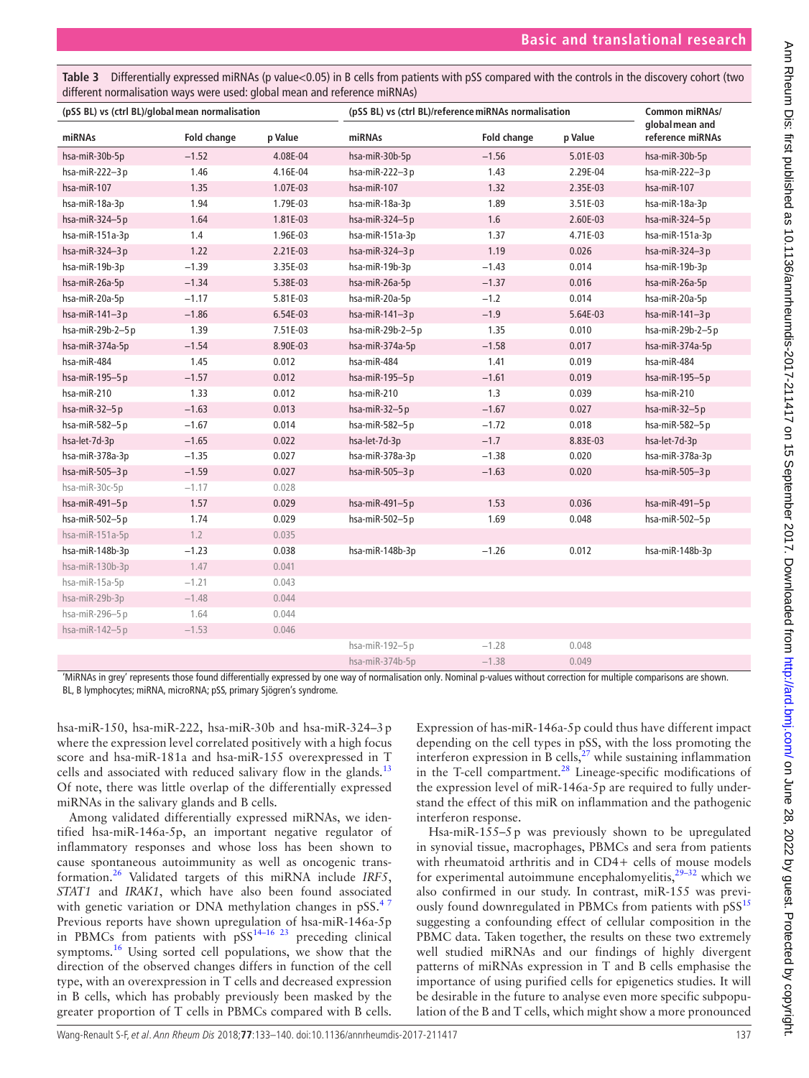<span id="page-4-0"></span>Table 3 Differentially expressed miRNAs (p value<0.05) in B cells from patients with pSS compared with the controls in the discovery cohort (two different normalisation ways were used: global mean and reference miRNAs)

| (pSS BL) vs (ctrl BL)/global mean normalisation |             | (pSS BL) vs (ctrl BL)/reference miRNAs normalisation | Common miRNAs/    |             |          |                                     |
|-------------------------------------------------|-------------|------------------------------------------------------|-------------------|-------------|----------|-------------------------------------|
| miRNAs                                          | Fold change | p Value                                              | miRNAs            | Fold change | p Value  | qlobal mean and<br>reference miRNAs |
| hsa-miR-30b-5p                                  | $-1.52$     | 4.08E-04                                             | hsa-miR-30b-5p    | $-1.56$     | 5.01E-03 | hsa-miR-30b-5p                      |
| hsa-miR-222-3p                                  | 1.46        | 4.16E-04                                             | hsa-miR-222-3p    | 1.43        | 2.29E-04 | hsa-miR-222-3p                      |
| hsa-miR-107                                     | 1.35        | 1.07E-03                                             | hsa-miR-107       | 1.32        | 2.35E-03 | hsa-miR-107                         |
| hsa-miR-18a-3p                                  | 1.94        | 1.79E-03                                             | hsa-miR-18a-3p    | 1.89        | 3.51E-03 | hsa-miR-18a-3p                      |
| hsa-miR-324-5p                                  | 1.64        | 1.81E-03                                             | hsa-miR-324-5p    | 1.6         | 2.60E-03 | hsa-miR-324-5p                      |
| hsa-miR-151a-3p                                 | 1.4         | 1.96E-03                                             | hsa-miR-151a-3p   | 1.37        | 4.71E-03 | hsa-miR-151a-3p                     |
| hsa-miR-324-3p                                  | 1.22        | 2.21E-03                                             | hsa-miR-324-3p    | 1.19        | 0.026    | hsa-miR-324-3p                      |
| hsa-miR-19b-3p                                  | $-1.39$     | 3.35E-03                                             | hsa-miR-19b-3p    | $-1.43$     | 0.014    | hsa-miR-19b-3p                      |
| hsa-miR-26a-5p                                  | $-1.34$     | 5.38E-03                                             | hsa-miR-26a-5p    | $-1.37$     | 0.016    | hsa-miR-26a-5p                      |
| hsa-miR-20a-5p                                  | $-1.17$     | 5.81E-03                                             | hsa-miR-20a-5p    | $-1.2$      | 0.014    | hsa-miR-20a-5p                      |
| hsa-miR-141-3p                                  | $-1.86$     | 6.54E-03                                             | hsa-miR-141-3p    | $-1.9$      | 5.64E-03 | hsa-miR-141-3p                      |
| hsa-miR-29b-2-5 p                               | 1.39        | 7.51E-03                                             | hsa-miR-29b-2-5 p | 1.35        | 0.010    | hsa-miR-29b-2-5p                    |
| hsa-miR-374a-5p                                 | $-1.54$     | 8.90E-03                                             | hsa-miR-374a-5p   | $-1.58$     | 0.017    | hsa-miR-374a-5p                     |
| hsa-miR-484                                     | 1.45        | 0.012                                                | hsa-miR-484       | 1.41        | 0.019    | hsa-miR-484                         |
| hsa-miR-195-5p                                  | $-1.57$     | 0.012                                                | hsa-miR-195-5p    | $-1.61$     | 0.019    | hsa-miR-195-5p                      |
| hsa-miR-210                                     | 1.33        | 0.012                                                | hsa-miR-210       | 1.3         | 0.039    | hsa-miR-210                         |
| hsa-miR-32-5p                                   | $-1.63$     | 0.013                                                | hsa-miR-32-5p     | $-1.67$     | 0.027    | hsa-miR-32-5p                       |
| hsa-miR-582-5p                                  | $-1.67$     | 0.014                                                | hsa-miR-582-5p    | $-1.72$     | 0.018    | hsa-miR-582-5p                      |
| hsa-let-7d-3p                                   | $-1.65$     | 0.022                                                | hsa-let-7d-3p     | $-1.7$      | 8.83E-03 | hsa-let-7d-3p                       |
| hsa-miR-378a-3p                                 | $-1.35$     | 0.027                                                | hsa-miR-378a-3p   | $-1.38$     | 0.020    | hsa-miR-378a-3p                     |
| hsa-miR-505-3p                                  | $-1.59$     | 0.027                                                | hsa-miR-505-3p    | $-1.63$     | 0.020    | hsa-miR-505-3p                      |
| hsa-miR-30c-5p                                  | $-1.17$     | 0.028                                                |                   |             |          |                                     |
| hsa-miR-491-5p                                  | 1.57        | 0.029                                                | hsa-miR-491-5 p   | 1.53        | 0.036    | hsa-miR-491-5p                      |
| hsa-miR-502-5p                                  | 1.74        | 0.029                                                | hsa-miR-502-5p    | 1.69        | 0.048    | hsa-miR-502-5p                      |
| hsa-miR-151a-5p                                 | 1.2         | 0.035                                                |                   |             |          |                                     |
| hsa-miR-148b-3p                                 | $-1.23$     | 0.038                                                | hsa-miR-148b-3p   | $-1.26$     | 0.012    | hsa-miR-148b-3p                     |
| hsa-miR-130b-3p                                 | 1.47        | 0.041                                                |                   |             |          |                                     |
| hsa-miR-15a-5p                                  | $-1.21$     | 0.043                                                |                   |             |          |                                     |
| hsa-miR-29b-3p                                  | $-1.48$     | 0.044                                                |                   |             |          |                                     |
| hsa-miR-296-5 p                                 | 1.64        | 0.044                                                |                   |             |          |                                     |
| hsa-miR-142-5p                                  | $-1.53$     | 0.046                                                |                   |             |          |                                     |
|                                                 |             |                                                      | hsa-miR-192-5 p   | $-1.28$     | 0.048    |                                     |
|                                                 |             |                                                      | hsa-miR-374b-5p   | $-1.38$     | 0.049    |                                     |

'MiRNAs in grey' represents those found differentially expressed by one way of normalisation only. Nominal p-values without correction for multiple comparisons are shown. BL, B lymphocytes; miRNA, microRNA; pSS, primary Sjögren's syndrome.

hsa-miR-150, hsa-miR-222, hsa-miR-30b and hsa-miR-324–3p where the expression level correlated positively with a high focus score and hsa-miR-181a and hsa-miR-155 overexpressed in T cells and associated with reduced salivary flow in the glands.<sup>[13](#page-7-2)</sup> Of note, there was little overlap of the differentially expressed miRNAs in the salivary glands and B cells.

Among validated differentially expressed miRNAs, we identified hsa-miR-146a-5p, an important negative regulator of inflammatory responses and whose loss has been shown to cause spontaneous autoimmunity as well as oncogenic transformation.[26](#page-7-12) Validated targets of this miRNA include *IRF5*, *STAT1* and *IRAK1*, which have also been found associated with genetic variation or DNA methylation changes in pSS.<sup>47</sup> Previous reports have shown upregulation of hsa-miR-146a-5p in PBMCs from patients with  $pSS^{14-16}$  <sup>23</sup> preceding clinical symptoms.<sup>[16](#page-7-13)</sup> Using sorted cell populations, we show that the direction of the observed changes differs in function of the cell type, with an overexpression in T cells and decreased expression in B cells, which has probably previously been masked by the greater proportion of T cells in PBMCs compared with B cells.

Expression of has-miR-146a-5p could thus have different impact depending on the cell types in pSS, with the loss promoting the interferon expression in B cells,  $27$  while sustaining inflammation in the T-cell compartment.<sup>28</sup> Lineage-specific modifications of the expression level of miR-146a-5p are required to fully understand the effect of this miR on inflammation and the pathogenic interferon response.

Hsa-miR-155–5p was previously shown to be upregulated in synovial tissue, macrophages, PBMCs and sera from patients with rheumatoid arthritis and in CD4+ cells of mouse models for experimental autoimmune encephalomyelitis, $29-32$  which we also confirmed in our study. In contrast, miR-155 was previ-ously found downregulated in PBMCs from patients with pSS<sup>[15](#page-7-17)</sup> suggesting a confounding effect of cellular composition in the PBMC data. Taken together, the results on these two extremely well studied miRNAs and our findings of highly divergent patterns of miRNAs expression in T and B cells emphasise the importance of using purified cells for epigenetics studies. It will be desirable in the future to analyse even more specific subpopulation of the B and T cells, which might show a more pronounced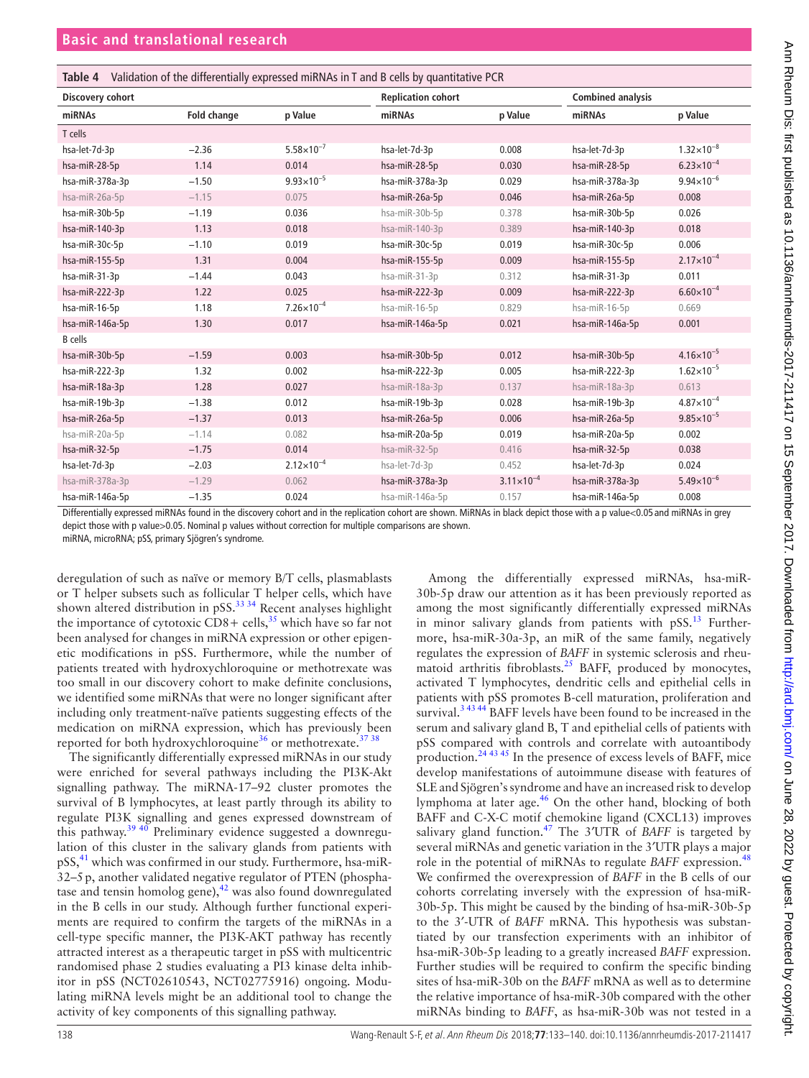<span id="page-5-0"></span>

| Table 4 Validation of the differentially expressed miRNAs in T and B cells by quantitative PCR |             |                       |                           |                       |                          |                       |  |
|------------------------------------------------------------------------------------------------|-------------|-----------------------|---------------------------|-----------------------|--------------------------|-----------------------|--|
| Discovery cohort                                                                               |             |                       | <b>Replication cohort</b> |                       | <b>Combined analysis</b> |                       |  |
| miRNAs                                                                                         | Fold change | p Value               | miRNAs                    | p Value               | miRNAs                   | p Value               |  |
| T cells                                                                                        |             |                       |                           |                       |                          |                       |  |
| hsa-let-7d-3p                                                                                  | $-2.36$     | $5.58 \times 10^{-7}$ | hsa-let-7d-3p             | 0.008                 | hsa-let-7d-3p            | $1.32\times10^{-8}$   |  |
| hsa-miR-28-5p                                                                                  | 1.14        | 0.014                 | hsa-miR-28-5p             | 0.030                 | hsa-miR-28-5p            | $6.23 \times 10^{-4}$ |  |
| hsa-miR-378a-3p                                                                                | $-1.50$     | $9.93 \times 10^{-5}$ | hsa-miR-378a-3p           | 0.029                 | hsa-miR-378a-3p          | $9.94 \times 10^{-6}$ |  |
| hsa-miR-26a-5p                                                                                 | $-1.15$     | 0.075                 | hsa-miR-26a-5p            | 0.046                 | hsa-miR-26a-5p           | 0.008                 |  |
| hsa-miR-30b-5p                                                                                 | $-1.19$     | 0.036                 | hsa-miR-30b-5p            | 0.378                 | hsa-miR-30b-5p           | 0.026                 |  |
| hsa-miR-140-3p                                                                                 | 1.13        | 0.018                 | hsa-miR-140-3p            | 0.389                 | hsa-miR-140-3p           | 0.018                 |  |
| hsa-miR-30c-5p                                                                                 | $-1.10$     | 0.019                 | hsa-miR-30c-5p            | 0.019                 | hsa-miR-30c-5p           | 0.006                 |  |
| hsa-miR-155-5p                                                                                 | 1.31        | 0.004                 | hsa-miR-155-5p            | 0.009                 | hsa-miR-155-5p           | $2.17\times10^{-4}$   |  |
| hsa-miR-31-3p                                                                                  | $-1.44$     | 0.043                 | hsa-miR-31-3p             | 0.312                 | hsa-miR-31-3p            | 0.011                 |  |
| hsa-miR-222-3p                                                                                 | 1.22        | 0.025                 | hsa-miR-222-3p            | 0.009                 | hsa-miR-222-3p           | $6.60\times10^{-4}$   |  |
| hsa-miR-16-5p                                                                                  | 1.18        | $7.26 \times 10^{-4}$ | hsa-miR-16-5p             | 0.829                 | hsa-miR-16-5p            | 0.669                 |  |
| hsa-miR-146a-5p                                                                                | 1.30        | 0.017                 | hsa-miR-146a-5p           | 0.021                 | hsa-miR-146a-5p          | 0.001                 |  |
| <b>B</b> cells                                                                                 |             |                       |                           |                       |                          |                       |  |
| hsa-miR-30b-5p                                                                                 | $-1.59$     | 0.003                 | hsa-miR-30b-5p            | 0.012                 | hsa-miR-30b-5p           | $4.16 \times 10^{-5}$ |  |
| hsa-miR-222-3p                                                                                 | 1.32        | 0.002                 | hsa-miR-222-3p            | 0.005                 | hsa-miR-222-3p           | $1.62 \times 10^{-5}$ |  |
| hsa-miR-18a-3p                                                                                 | 1.28        | 0.027                 | hsa-miR-18a-3p            | 0.137                 | hsa-miR-18a-3p           | 0.613                 |  |
| hsa-miR-19b-3p                                                                                 | $-1.38$     | 0.012                 | hsa-miR-19b-3p            | 0.028                 | hsa-miR-19b-3p           | $4.87 \times 10^{-4}$ |  |
| hsa-miR-26a-5p                                                                                 | $-1.37$     | 0.013                 | hsa-miR-26a-5p            | 0.006                 | hsa-miR-26a-5p           | $9.85 \times 10^{-5}$ |  |
| hsa-miR-20a-5p                                                                                 | $-1.14$     | 0.082                 | hsa-miR-20a-5p            | 0.019                 | hsa-miR-20a-5p           | 0.002                 |  |
| hsa-miR-32-5p                                                                                  | $-1.75$     | 0.014                 | hsa-miR-32-5p             | 0.416                 | hsa-miR-32-5p            | 0.038                 |  |
| hsa-let-7d-3p                                                                                  | $-2.03$     | $2.12 \times 10^{-4}$ | hsa-let-7d-3p             | 0.452                 | hsa-let-7d-3p            | 0.024                 |  |
| hsa-miR-378a-3p                                                                                | $-1.29$     | 0.062                 | hsa-miR-378a-3p           | $3.11 \times 10^{-4}$ | hsa-miR-378a-3p          | $5.49\times10^{-6}$   |  |
| hsa-miR-146a-5p                                                                                | $-1.35$     | 0.024                 | hsa-miR-146a-5p           | 0.157                 | hsa-miR-146a-5p          | 0.008                 |  |

Differentially expressed miRNAs found in the discovery cohort and in the replication cohort are shown. MiRNAs in black depict those with a p value<0.05 and miRNAs in grey depict those with p value>0.05. Nominal p values without correction for multiple comparisons are shown.

miRNA, microRNA; pSS, primary Sjögren's syndrome.

deregulation of such as naïve or memory B/T cells, plasmablasts or T helper subsets such as follicular T helper cells, which have shown altered distribution in pSS.<sup>33 34</sup> Recent analyses highlight the importance of cytotoxic CD8+ cells,<sup>[35](#page-7-19)</sup> which have so far not been analysed for changes in miRNA expression or other epigenetic modifications in pSS. Furthermore, while the number of patients treated with hydroxychloroquine or methotrexate was too small in our discovery cohort to make definite conclusions, we identified some miRNAs that were no longer significant after including only treatment-naïve patients suggesting effects of the medication on miRNA expression, which has previously been reported for both hydroxychloroquine<sup>[36](#page-7-20)</sup> or methotrexate.<sup>3738</sup>

The significantly differentially expressed miRNAs in our study were enriched for several pathways including the PI3K-Akt signalling pathway. The miRNA-17–92 cluster promotes the survival of B lymphocytes, at least partly through its ability to regulate PI3K signalling and genes expressed downstream of this pathway.<sup>39</sup> 40 Preliminary evidence suggested a downregulation of this cluster in the salivary glands from patients with pSS,<sup>[41](#page-7-23)</sup> which was confirmed in our study. Furthermore, hsa-miR-32–5p, another validated negative regulator of PTEN (phosphatase and tensin homolog gene), $42$  was also found downregulated in the B cells in our study. Although further functional experiments are required to confirm the targets of the miRNAs in a cell-type specific manner, the PI3K-AKT pathway has recently attracted interest as a therapeutic target in pSS with multicentric randomised phase 2 studies evaluating a PI3 kinase delta inhibitor in pSS (NCT02610543, NCT02775916) ongoing. Modulating miRNA levels might be an additional tool to change the activity of key components of this signalling pathway.

Among the differentially expressed miRNAs, hsa-miR-30b-5p draw our attention as it has been previously reported as among the most significantly differentially expressed miRNAs in minor salivary glands from patients with pSS.<sup>13</sup> Furthermore, hsa-miR-30a-3p, an miR of the same family, negatively regulates the expression of *BAFF* in systemic sclerosis and rheu-matoid arthritis fibroblasts.<sup>[25](#page-7-11)</sup> BAFF, produced by monocytes, activated T lymphocytes, dendritic cells and epithelial cells in patients with pSS promotes B-cell maturation, proliferation and survival.<sup>[3 43 44](#page-6-1)</sup> BAFF levels have been found to be increased in the serum and salivary gland B, T and epithelial cells of patients with pSS compared with controls and correlate with autoantibody production.<sup>[24 43 45](#page-7-10)</sup> In the presence of excess levels of BAFF, mice develop manifestations of autoimmune disease with features of SLE and Sjögren's syndrome and have an increased risk to develop lymphoma at later age.[46](#page-7-25) On the other hand, blocking of both BAFF and C-X-C motif chemokine ligand (CXCL13) improves salivary gland function.<sup>47</sup> The 3'UTR of *BAFF* is targeted by several miRNAs and genetic variation in the 3′UTR plays a major role in the potential of miRNAs to regulate *BAFF* expression.<sup>[48](#page-7-27)</sup> We confirmed the overexpression of *BAFF* in the B cells of our cohorts correlating inversely with the expression of hsa-miR-30b-5p. This might be caused by the binding of hsa-miR-30b-5p to the 3′-UTR of *BAFF* mRNA. This hypothesis was substantiated by our transfection experiments with an inhibitor of hsa-miR-30b-5p leading to a greatly increased *BAFF* expression. Further studies will be required to confirm the specific binding sites of hsa-miR-30b on the *BAFF* mRNA as well as to determine the relative importance of hsa-miR-30b compared with the other miRNAs binding to *BAFF*, as hsa-miR-30b was not tested in a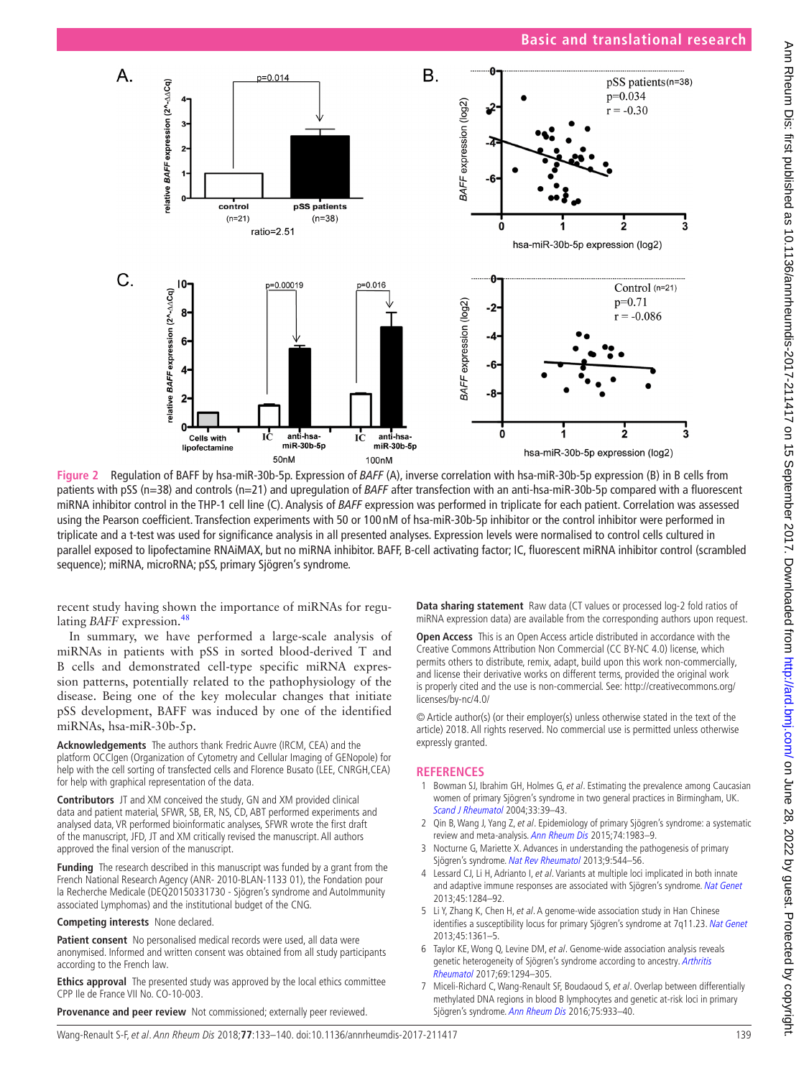

<span id="page-6-4"></span>**Figure 2** Regulation of BAFF by hsa-miR-30b-5p. Expression of *BAFF* (A), inverse correlation with hsa-miR-30b-5p expression (B) in B cells from patients with pSS (n=38) and controls (n=21) and upregulation of *BAFF* after transfection with an anti-hsa-miR-30b-5p compared with a fluorescent miRNA inhibitor control in the THP-1 cell line (C). Analysis of *BAFF* expression was performed in triplicate for each patient. Correlation was assessed using the Pearson coefficient. Transfection experiments with 50 or 100 nM of hsa-miR-30b-5p inhibitor or the control inhibitor were performed in triplicate and a t-test was used for significance analysis in all presented analyses. Expression levels were normalised to control cells cultured in parallel exposed to lipofectamine RNAiMAX, but no miRNA inhibitor. BAFF, B-cell activating factor; IC, fluorescent miRNA inhibitor control (scrambled sequence); miRNA, microRNA; pSS, primary Sjögren's syndrome.

recent study having shown the importance of miRNAs for regulating *BAFF* expression.<sup>[48](#page-7-27)</sup>

In summary, we have performed a large-scale analysis of miRNAs in patients with pSS in sorted blood-derived T and B cells and demonstrated cell-type specific miRNA expression patterns, potentially related to the pathophysiology of the disease. Being one of the key molecular changes that initiate pSS development, BAFF was induced by one of the identified miRNAs, hsa-miR-30b-5p.

**Acknowledgements** The authors thank Fredric Auvre (IRCM, CEA) and the platform OCCIgen (Organization of Cytometry and Cellular Imaging of GENopole) for help with the cell sorting of transfected cells and Florence Busato (LEE, CNRGH,CEA) for help with graphical representation of the data.

**Contributors** JT and XM conceived the study, GN and XM provided clinical data and patient material, SFWR, SB, ER, NS, CD, ABT performed experiments and analysed data, VR performed bioinformatic analyses, SFWR wrote the first draft of the manuscript, JFD, JT and XM critically revised the manuscript. All authors approved the final version of the manuscript.

**Funding** The research described in this manuscript was funded by a grant from the French National Research Agency (ANR- 2010-BLAN-1133 01), the Fondation pour la Recherche Medicale (DEQ20150331730 - Sjögren's syndrome and AutoImmunity associated Lymphomas) and the institutional budget of the CNG.

**Competing interests** None declared.

Patient consent No personalised medical records were used, all data were anonymised. Informed and written consent was obtained from all study participants according to the French law.

**Ethics approval** The presented study was approved by the local ethics committee CPP Ile de France VII No. CO-10-003.

**Provenance and peer review** Not commissioned; externally peer reviewed.

**Data sharing statement** Raw data (CT values or processed log-2 fold ratios of miRNA expression data) are available from the corresponding authors upon request.

**Open Access** This is an Open Access article distributed in accordance with the Creative Commons Attribution Non Commercial (CC BY-NC 4.0) license, which permits others to distribute, remix, adapt, build upon this work non-commercially, and license their derivative works on different terms, provided the original work is properly cited and the use is non-commercial. See: [http://creativecommons.org/](http://creativecommons.org/licenses/by-nc/4.0/) [licenses/by-nc/4.0/](http://creativecommons.org/licenses/by-nc/4.0/)

© Article author(s) (or their employer(s) unless otherwise stated in the text of the article) 2018. All rights reserved. No commercial use is permitted unless otherwise expressly granted.

#### **References**

- <span id="page-6-0"></span>1 Bowman SJ, Ibrahim GH, Holmes G, et al. Estimating the prevalence among Caucasian women of primary Sjögren's syndrome in two general practices in Birmingham, UK. [Scand J Rheumatol](http://dx.doi.org/10.1080/03009740310004676) 2004;33:39–43.
- 2 Qin B, Wang J, Yang Z, et al. Epidemiology of primary Sjögren's syndrome: a systematic review and meta-analysis. [Ann Rheum Dis](http://dx.doi.org/10.1136/annrheumdis-2014-205375) 2015;74:1983-9.
- <span id="page-6-1"></span>3 Nocturne G, Mariette X. Advances in understanding the pathogenesis of primary Sjögren's syndrome. [Nat Rev Rheumatol](http://dx.doi.org/10.1038/nrrheum.2013.110) 2013;9:544–56.
- <span id="page-6-2"></span>4 Lessard CJ, Li H, Adrianto I, et al. Variants at multiple loci implicated in both innate and adaptive immune responses are associated with Sjögren's syndrome. [Nat Genet](http://dx.doi.org/10.1038/ng.2792) 2013;45:1284–92.
- 5 Li Y, Zhang K, Chen H, et al. A genome-wide association study in Han Chinese identifies a susceptibility locus for primary Sjögren's syndrome at 7q11.23. [Nat Genet](http://dx.doi.org/10.1038/ng.2779) 2013;45:1361–5.
- 6 Taylor KE, Wong Q, Levine DM, et al. Genome-wide association analysis reveals genetic heterogeneity of Sjögren's syndrome according to ancestry. Arthritis [Rheumatol](http://dx.doi.org/10.1002/art.40040) 2017;69:1294–305.
- <span id="page-6-3"></span>7 Miceli-Richard C, Wang-Renault SF, Boudaoud S, et al. Overlap between differentially methylated DNA regions in blood B lymphocytes and genetic at-risk loci in primary Sjögren's syndrome. [Ann Rheum Dis](http://dx.doi.org/10.1136/annrheumdis-2014-206998) 2016;75:933–40.